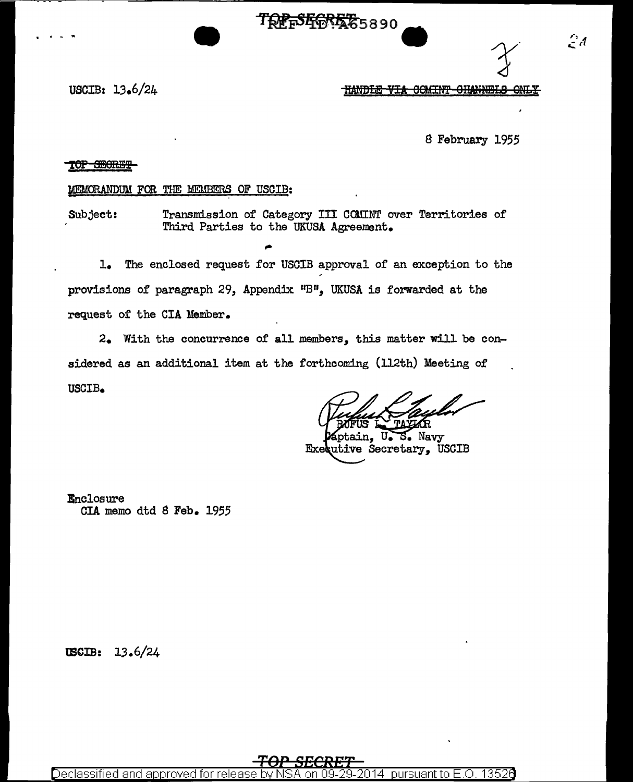TREFSEREE5890

 $\mathcal{L}^d$ 

USCIB:  $13.6/24$ 

HANDLE VIA COMINT CHANNELS ONLY

8 February 1955

# TOP OBORET

## MEMORANDUM FOR THE MEMBERS OF USCIB:

Transmission of Category III COMINT over Territories of Subject: Third Parties to the UKUSA Agreement.

 $\mathbf{L}$ . The enclosed request for USCIB approval of an exception to the provisions of paragraph 29, Appendix "B", UKUSA is forwarded at the request of the CIA Member.

2. With the concurrence of all members, this matter will be considered as an additional item at the forthcoming (112th) Meeting of USCIB.

S. Navy  $\mathbf{U}_{\bullet}$ ain. Executive Secretary, USCIB

**Enclosure** CIA memo dtd 8 Feb. 1955

USCIB: 13.6/24

Declassified and approved for pursuant to: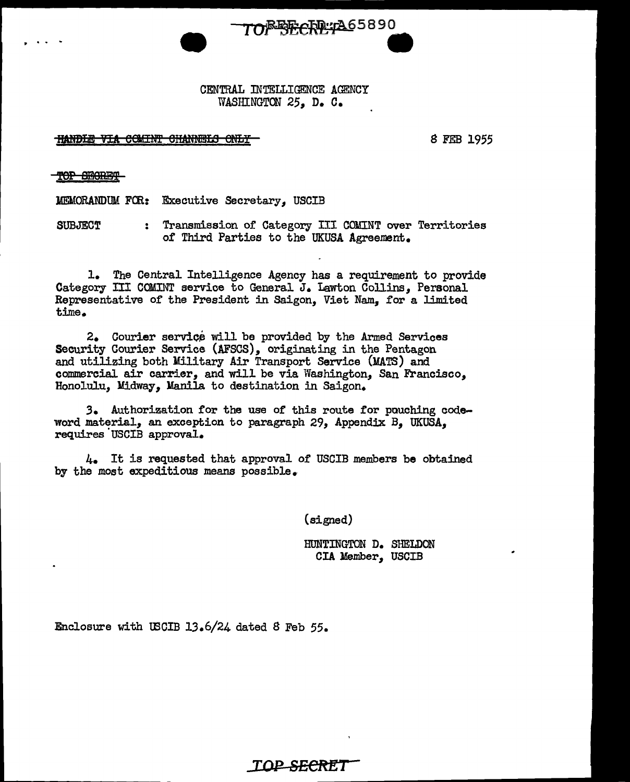

. .. .. .. • CENTRAL JNTELLIGENCE AGENCY WASHINGTON 25, D. C.

HANDLE VIA COMINT CHANNELS ONLY-

S FEB 1955

TOP SECRET

MEMORANDUM FOR: Executive Secretary, USCIB

SUBJECT : Transmission of Category III COlllNT over Territories of Third Parties to the UKUSA Agreement.

l. The Central Intelligence Agency has a requirement to provide Category III COMINT service to General J. Lawton Collins, Personal Representative of the President in Saigon, Viet Nam, for a limited time.

 $2.$  Courier service will be provided by the Armed Services Security Courier Service (AFSCS), originating in the Pentagon and utilizing both Military Air Transport Service (MATS) and commercial air carrier, and will be via Washington, San Francisco, Honolulu, Midway, Manila to destination in Saigon.

*3.* Authorization for the use of this route for pouching codeword material, an exception to paragraph 29, Appendix B, UKUSA, requires USCIB approval.

4. It is requested that approval of USCIB members be obtained by the most expeditious means possible.

(signed)

HUNTINGTON D. SHELDON CIA Member, USCIB

Enclosure with WCIB 13.6/24 dated 8 Feb 55.

*TOP* **SECRET**